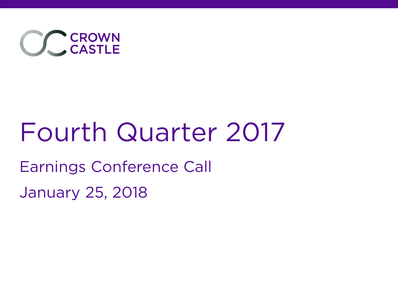

# Fourth Quarter 2017

## Earnings Conference Call

January 25, 2018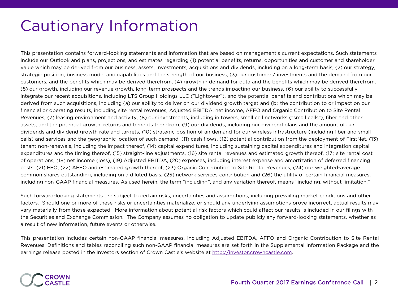## Cautionary Information

This presentation contains forward-looking statements and information that are based on management's current expectations. Such statements include our Outlook and plans, projections, and estimates regarding (1) potential benefits, returns, opportunities and customer and shareholder value which may be derived from our business, assets, investments, acquisitions and dividends, including on a long-term basis, (2) our strategy, strategic position, business model and capabilities and the strength of our business, (3) our customers' investments and the demand from our customers, and the benefits which may be derived therefrom, (4) growth in demand for data and the benefits which may be derived therefrom, (5) our growth, including our revenue growth, long-term prospects and the trends impacting our business, (6) our ability to successfully integrate our recent acquisitions, including LTS Group Holdings LLC ("Lightower"), and the potential benefits and contributions which may be derived from such acquisitions, including (a) our ability to deliver on our dividend growth target and (b) the contribution to or impact on our financial or operating results, including site rental revenues, Adjusted EBITDA, net income, AFFO and Organic Contribution to Site Rental Revenues, (7) leasing environment and activity, (8) our investments, including in towers, small cell networks ("small cells"), fiber and other assets, and the potential growth, returns and benefits therefrom, (9) our dividends, including our dividend plans and the amount of our dividends and dividend growth rate and targets, (10) strategic position of an demand for our wireless infrastructure (including fiber and small cells) and services and the geographic location of such demand, (11) cash flows, (12) potential contribution from the deployment of FirstNet, (13) tenant non-renewals, including the impact thereof, (14) capital expenditures, including sustaining capital expenditures and integration capital expenditures and the timing thereof, (15) straight-line adjustments, (16) site rental revenues and estimated growth thereof, (17) site rental cost of operations, (18) net income (loss), (19) Adjusted EBITDA, (20) expenses, including interest expense and amortization of deferred financing costs, (21) FFO, (22) AFFO and estimated growth thereof, (23) Organic Contribution to Site Rental Revenues, (24) our weighted-average common shares outstanding, including on a diluted basis, (25) network services contribution and (26) the utility of certain financial measures, including non-GAAP financial measures. As used herein, the term "including", and any variation thereof, means "including, without limitation."

Such forward-looking statements are subject to certain risks, uncertainties and assumptions, including prevailing market conditions and other factors. Should one or more of these risks or uncertainties materialize, or should any underlying assumptions prove incorrect, actual results may vary materially from those expected. More information about potential risk factors which could affect our results is included in our filings with the Securities and Exchange Commission. The Company assumes no obligation to update publicly any forward-looking statements, whether as a result of new information, future events or otherwise.

This presentation includes certain non-GAAP financial measures, including Adjusted EBITDA, AFFO and Organic Contribution to Site Rental Revenues. Definitions and tables reconciling such non-GAAP financial measures are set forth in the Supplemental Information Package and the earnings release posted in the Investors section of Crown Castle's website at http://investor.crowncastle.com.

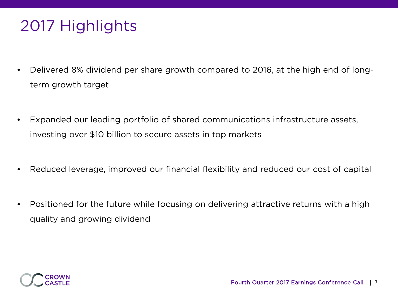# 2017 Highlights

- Delivered 8% dividend per share growth compared to 2016, at the high end of longterm growth target
- Expanded our leading portfolio of shared communications infrastructure assets, investing over \$10 billion to secure assets in top markets
- Reduced leverage, improved our financial flexibility and reduced our cost of capital
- Positioned for the future while focusing on delivering attractive returns with a high quality and growing dividend

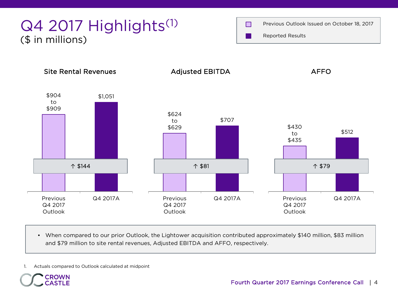

• When compared to our prior Outlook, the Lightower acquisition contributed approximately \$140 million, \$83 million and \$79 million to site rental revenues, Adjusted EBITDA and AFFO, respectively.

1. Actuals compared to Outlook calculated at midpoint

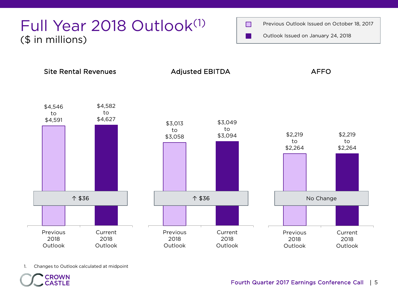### Full Year 2018 Outlook<sup>(1)</sup> (\$ in millions)





1. Changes to Outlook calculated at midpoint

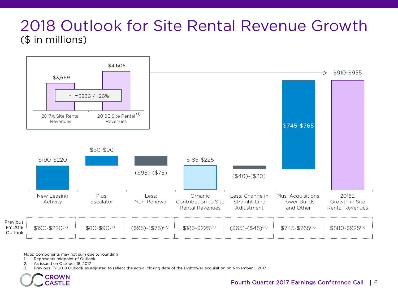### 2018 Outlook for Site Rental Revenue Growth (\$ in millions)



Note: Components may not sum due to rounding

1. Represents midpoint of Outlook

2. As issued on October 18, 2017

3. Previous FY 2018 Outlook as adjusted to reflect the actual closing date of the Lightower acquisition on November 1, 2017